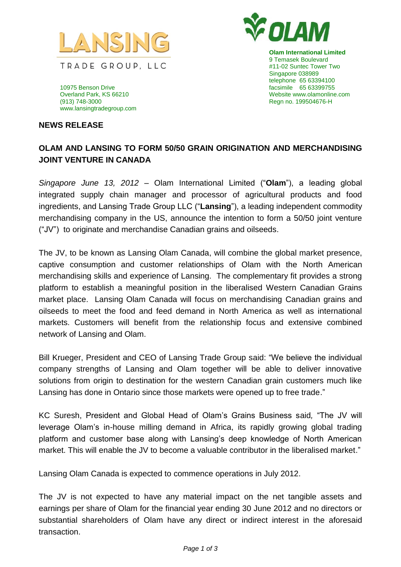



**Olam International Limited** 9 Temasek Boulevard #11-02 Suntec Tower Two Singapore 038989 telephone 65 63394100 Website www.olamonline.com

10975 Benson Drive facsimile 65 63399755 (913) 748-3000 Regn no. 199504676-H www.lansingtradegroup.com

## **NEWS RELEASE**

## **OLAM AND LANSING TO FORM 50/50 GRAIN ORIGINATION AND MERCHANDISING JOINT VENTURE IN CANADA**

*Singapore June 13, 2012* – Olam International Limited ("**Olam**"), a leading global integrated supply chain manager and processor of agricultural products and food ingredients, and Lansing Trade Group LLC ("**Lansing**"), a leading independent commodity merchandising company in the US, announce the intention to form a 50/50 joint venture ("JV") to originate and merchandise Canadian grains and oilseeds.

The JV, to be known as Lansing Olam Canada, will combine the global market presence, captive consumption and customer relationships of Olam with the North American merchandising skills and experience of Lansing. The complementary fit provides a strong platform to establish a meaningful position in the liberalised Western Canadian Grains market place. Lansing Olam Canada will focus on merchandising Canadian grains and oilseeds to meet the food and feed demand in North America as well as international markets. Customers will benefit from the relationship focus and extensive combined network of Lansing and Olam.

Bill Krueger, President and CEO of Lansing Trade Group said: "We believe the individual company strengths of Lansing and Olam together will be able to deliver innovative solutions from origin to destination for the western Canadian grain customers much like Lansing has done in Ontario since those markets were opened up to free trade."

KC Suresh, President and Global Head of Olam's Grains Business said*,* "The JV will leverage Olam's in-house milling demand in Africa, its rapidly growing global trading platform and customer base along with Lansing's deep knowledge of North American market. This will enable the JV to become a valuable contributor in the liberalised market."

Lansing Olam Canada is expected to commence operations in July 2012.

The JV is not expected to have any material impact on the net tangible assets and earnings per share of Olam for the financial year ending 30 June 2012 and no directors or substantial shareholders of Olam have any direct or indirect interest in the aforesaid transaction.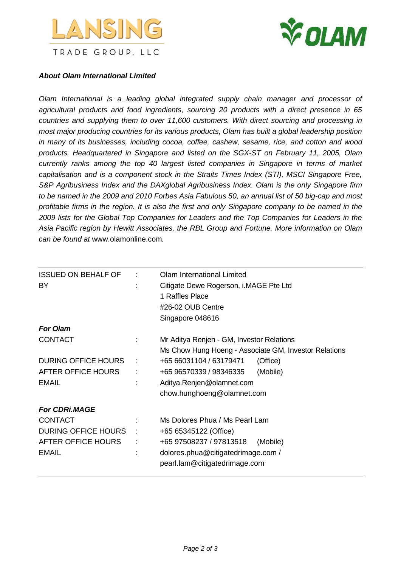



## *About Olam International Limited*

*Olam International is a leading global integrated supply chain manager and processor of agricultural products and food ingredients, sourcing 20 products with a direct presence in 65 countries and supplying them to over 11,600 customers. With direct sourcing and processing in most major producing countries for its various products, Olam has built a global leadership position in many of its businesses, including cocoa, coffee, cashew, sesame, rice, and cotton and wood products. Headquartered in Singapore and listed on the SGX-ST on February 11, 2005, Olam currently ranks among the top 40 largest listed companies in Singapore in terms of market capitalisation and is a component stock in the Straits Times Index (STI), MSCI Singapore Free, S&P Agribusiness Index and the DAXglobal Agribusiness Index. Olam is the only Singapore firm to be named in the 2009 and 2010 Forbes Asia Fabulous 50, an annual list of 50 big-cap and most profitable firms in the region. It is also the first and only Singapore company to be named in the 2009 lists for the Global Top Companies for Leaders and the Top Companies for Leaders in the Asia Pacific region by Hewitt Associates, the RBL Group and Fortune. More information on Olam can be found at* [www.olamonline.com](http://www.olamonline.com/)*.*

| <b>ISSUED ON BEHALF OF</b><br><b>BY</b> | ÷ | Olam International Limited<br>Citigate Dewe Rogerson, i.MAGE Pte Ltd<br>1 Raffles Place<br>#26-02 OUB Centre |  |
|-----------------------------------------|---|--------------------------------------------------------------------------------------------------------------|--|
|                                         |   | Singapore 048616                                                                                             |  |
| <b>For Olam</b>                         |   |                                                                                                              |  |
| <b>CONTACT</b>                          |   | Mr Aditya Renjen - GM, Investor Relations<br>Ms Chow Hung Hoeng - Associate GM, Investor Relations           |  |
| <b>DURING OFFICE HOURS</b>              | ÷ | +65 66031104 / 63179471<br>(Office)                                                                          |  |
| AFTER OFFICE HOURS                      | ÷ | +65 96570339 / 98346335<br>(Mobile)                                                                          |  |
| <b>EMAIL</b>                            |   | Aditya.Renjen@olamnet.com<br>chow.hunghoeng@olamnet.com                                                      |  |
| <b>For CDRi.MAGE</b>                    |   |                                                                                                              |  |
| <b>CONTACT</b>                          |   | Ms Dolores Phua / Ms Pearl Lam                                                                               |  |
| DURING OFFICE HOURS                     |   | +65 65345122 (Office)                                                                                        |  |
| AFTER OFFICE HOURS<br><b>EMAIL</b>      | ÷ | +65 97508237 / 97813518<br>(Mobile)<br>dolores.phua@citigatedrimage.com /<br>pearl.lam@citigatedrimage.com   |  |